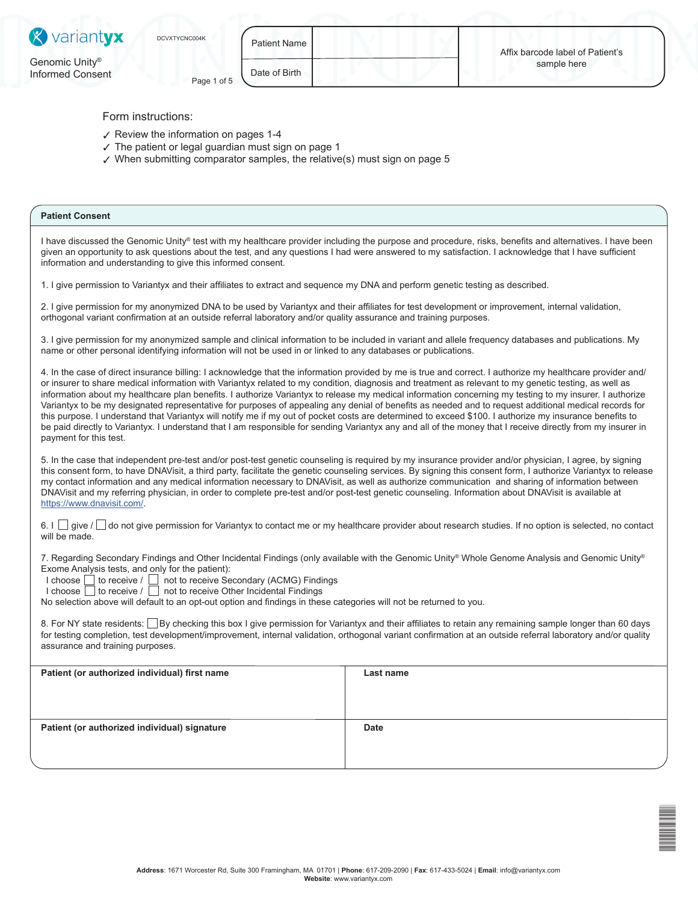

Patient Name

DCVXTV<br>Dominical Co

Form instructions:

Informed Consent Page 1 of 5

- ✓ Review the information on pages 1-4
- $\checkmark$  The patient or legal guardian must sign on page 1
- $\boldsymbol{\mathsf{y}}$  When submitting comparator samples, the relative(s) must sign on page 5

# **Patient Consent**

I have discussed the Genomic Unity® test with my healthcare provider including the purpose and procedure, risks, benefits and alternatives. I have been given an opportunity to ask questions about the test, and any questions I had were answered to my satisfaction. I acknowledge that I have sufficient information and understanding to give this informed consent.

1. I give permission to Variantyx and their affiliates to extract and sequence my DNA and perform genetic testing as described.

2. I give permission for my anonymized DNA to be used by Variantyx and their affiliates for test development or improvement, internal validation, orthogonal variant confirmation at an outside referral laboratory and/or quality assurance and training purposes.

3. I give permission for my anonymized sample and clinical information to be included in variant and allele frequency databases and publications. My name or other personal identifying information will not be used in or linked to any databases or publications.

4. In the case of direct insurance billing: I acknowledge that the information provided by me is true and correct. I authorize my healthcare provider and/ or insurer to share medical information with Variantyx related to my condition, diagnosis and treatment as relevant to my genetic testing, as well as information about my healthcare plan benefits. I authorize Variantyx to release my medical information concerning my testing to my insurer. I authorize Variantyx to be my designated representative for purposes of appealing any denial of benefits as needed and to request additional medical records for this purpose. I understand that Variantyx will notify me if my out of pocket costs are determined to exceed \$100. I authorize my insurance benefits to be paid directly to Variantyx. I understand that I am responsible for sending Variantyx any and all of the money that I receive directly from my insurer in payment for this test.

5. In the case that independent pre-test and/or post-test genetic counseling is required by my insurance provider and/or physician, I agree, by signing this consent form, to have DNAVisit, a third party, facilitate the genetic counseling services. By signing this consent form, I authorize Variantyx to release my contact information and any medical information necessary to DNAVisit, as well as authorize communication and sharing of information between DNAVisit and my referring physician, in order to complete pre-test and/or post-test genetic counseling. Information about DNAVisit is available at https://www.dnavisit.com/.

6. I give / do not give permission for Variantyx to contact me or my healthcare provider about research studies. If no option is selected, no contact will be made.

7. Regarding Secondary Findings and Other Incidental Findings (only available with the Genomic Unity® Whole Genome Analysis and Genomic Unity® Exome Analysis tests, and only for the patient):

 $I$  choose  $\Box$  to receive /  $\Box$  not to receive Secondary (ACMG) Findings

I choose  $\Box$  to receive /  $\Box$  not to receive Other Incidental Findings

No selection above will default to an opt-out option and findings in these categories will not be returned to you.

8. For NY state residents: By checking this box I give permission for Variantyx and their affiliates to retain any remaining sample longer than 60 days for testing completion, test development/improvement, internal validation, orthogonal variant confirmation at an outside referral laboratory and/or quality assurance and training purposes.

| Patient (or authorized individual) first name | Last name   |
|-----------------------------------------------|-------------|
|                                               |             |
|                                               |             |
|                                               |             |
|                                               |             |
|                                               |             |
|                                               |             |
|                                               |             |
| Patient (or authorized individual) signature  | <b>Date</b> |
|                                               |             |
|                                               |             |
|                                               |             |
|                                               |             |
|                                               |             |
|                                               |             |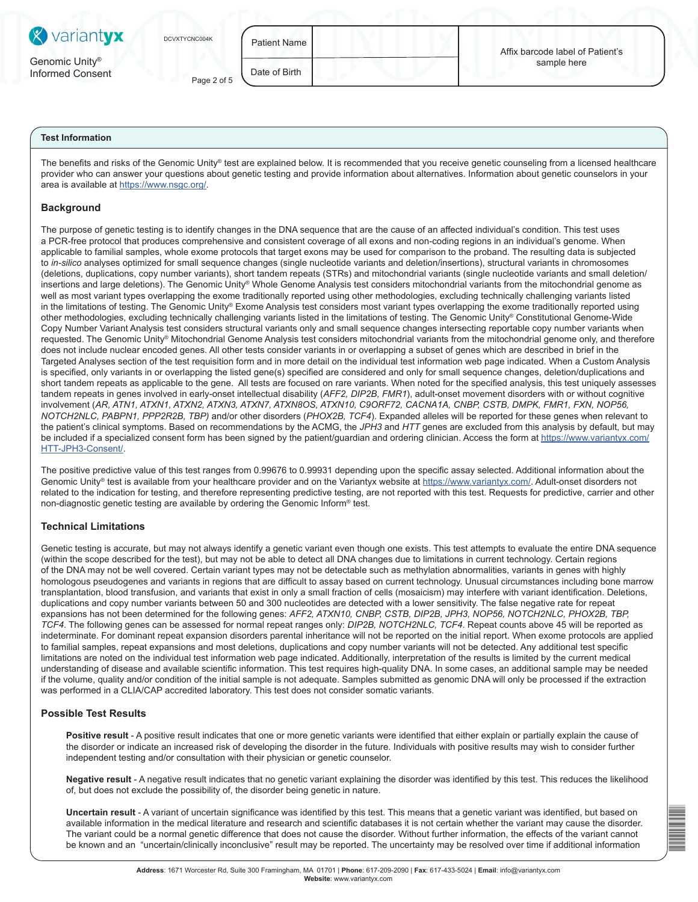| <b>X</b> variantyx                             | DCVXTYCNC004K | Patient Name I | Affix barcode label of Patient's |
|------------------------------------------------|---------------|----------------|----------------------------------|
| Genomic Unity <sup>®</sup><br>Informed Consent | Page 2 of 5   | Date of Birth  | sample here                      |

# **Test Information**

The benefits and risks of the Genomic Unity® test are explained below. It is recommended that you receive genetic counseling from a licensed healthcare provider who can answer your questions about genetic testing and provide information about alternatives. Information about genetic counselors in your area is available at https://www.nsgc.org/.

# **Background**

The purpose of genetic testing is to identify changes in the DNA sequence that are the cause of an affected individual's condition. This test uses a PCR-free protocol that produces comprehensive and consistent coverage of all exons and non-coding regions in an individual's genome. When applicable to familial samples, whole exome protocols that target exons may be used for comparison to the proband. The resulting data is subjected to *in-silico* analyses optimized for small sequence changes (single nucleotide variants and deletion/insertions), structural variants in chromosomes (deletions, duplications, copy number variants), short tandem repeats (STRs) and mitochondrial variants (single nucleotide variants and small deletion/ insertions and large deletions). The Genomic Unity® Whole Genome Analysis test considers mitochondrial variants from the mitochondrial genome as well as most variant types overlapping the exome traditionally reported using other methodologies, excluding technically challenging variants listed in the limitations of testing. The Genomic Unity® Exome Analysis test considers most variant types overlapping the exome traditionally reported using other methodologies, excluding technically challenging variants listed in the limitations of testing. The Genomic Unity® Constitutional Genome-Wide Copy Number Variant Analysis test considers structural variants only and small sequence changes intersecting reportable copy number variants when requested. The Genomic Unity® Mitochondrial Genome Analysis test considers mitochondrial variants from the mitochondrial genome only, and therefore does not include nuclear encoded genes. All other tests consider variants in or overlapping a subset of genes which are described in brief in the Targeted Analyses section of the test requisition form and in more detail on the individual test information web page indicated. When a Custom Analysis is specified, only variants in or overlapping the listed gene(s) specified are considered and only for small sequence changes, deletion/duplications and short tandem repeats as applicable to the gene. All tests are focused on rare variants. When noted for the specified analysis, this test uniquely assesses tandem repeats in genes involved in early-onset intellectual disability (*AFF2, DIP2B, FMR1*), adult-onset movement disorders with or without cognitive involvement (*AR, ATN1, ATXN1, ATXN2, ATXN3, ATXN7, ATXN8OS, ATXN10, C9ORF72, CACNA1A, CNBP, CSTB, DMPK, FMR1, FXN, NOP56, NOTCH2NLC, PABPN1, PPP2R2B, TBP)* and/or other disorders (*PHOX2B, TCF4*). Expanded alleles will be reported for these genes when relevant to the patient's clinical symptoms. Based on recommendations by the ACMG, the *JPH3* and *HTT* genes are excluded from this analysis by default, but may be included if a specialized consent form has been signed by the patient/guardian and ordering clinician. Access the form at https://www.variantyx.com/ HTT-JPH3-Consent/.

The positive predictive value of this test ranges from 0.99676 to 0.99931 depending upon the specific assay selected. Additional information about the Genomic Unity® test is available from your healthcare provider and on the Variantyx website at https://www.variantyx.com/. Adult-onset disorders not related to the indication for testing, and therefore representing predictive testing, are not reported with this test. Requests for predictive, carrier and other non-diagnostic genetic testing are available by ordering the Genomic Inform® test.

# **Technical Limitations**

Genetic testing is accurate, but may not always identify a genetic variant even though one exists. This test attempts to evaluate the entire DNA sequence (within the scope described for the test), but may not be able to detect all DNA changes due to limitations in current technology. Certain regions of the DNA may not be well covered. Certain variant types may not be detectable such as methylation abnormalities, variants in genes with highly homologous pseudogenes and variants in regions that are difficult to assay based on current technology. Unusual circumstances including bone marrow transplantation, blood transfusion, and variants that exist in only a small fraction of cells (mosaicism) may interfere with variant identification. Deletions, duplications and copy number variants between 50 and 300 nucleotides are detected with a lower sensitivity. The false negative rate for repeat expansions has not been determined for the following genes: *AFF2, ATXN10, CNBP, CSTB, DIP2B, JPH3, NOP56, NOTCH2NLC, PHOX2B, TBP, TCF4*. The following genes can be assessed for normal repeat ranges only: *DIP2B, NOTCH2NLC, TCF4*. Repeat counts above 45 will be reported as indeterminate. For dominant repeat expansion disorders parental inheritance will not be reported on the initial report. When exome protocols are applied to familial samples, repeat expansions and most deletions, duplications and copy number variants will not be detected. Any additional test specific limitations are noted on the individual test information web page indicated. Additionally, interpretation of the results is limited by the current medical understanding of disease and available scientific information. This test requires high-quality DNA. In some cases, an additional sample may be needed if the volume, quality and/or condition of the initial sample is not adequate. Samples submitted as genomic DNA will only be processed if the extraction was performed in a CLIA/CAP accredited laboratory. This test does not consider somatic variants.

### **Possible Test Results**

Positive result - A positive result indicates that one or more genetic variants were identified that either explain or partially explain the cause of the disorder or indicate an increased risk of developing the disorder in the future. Individuals with positive results may wish to consider further independent testing and/or consultation with their physician or genetic counselor.

**Negative result** - A negative result indicates that no genetic variant explaining the disorder was identified by this test. This reduces the likelihood of, but does not exclude the possibility of, the disorder being genetic in nature.

**Uncertain result** - A variant of uncertain significance was identified by this test. This means that a genetic variant was identified, but based on available information in the medical literature and research and scientific databases it is not certain whether the variant may cause the disorder. The variant could be a normal genetic difference that does not cause the disorder. Without further information, the effects of the variant cannot be known and an "uncertain/clinically inconclusive" result may be reported. The uncertainty may be resolved over time if additional information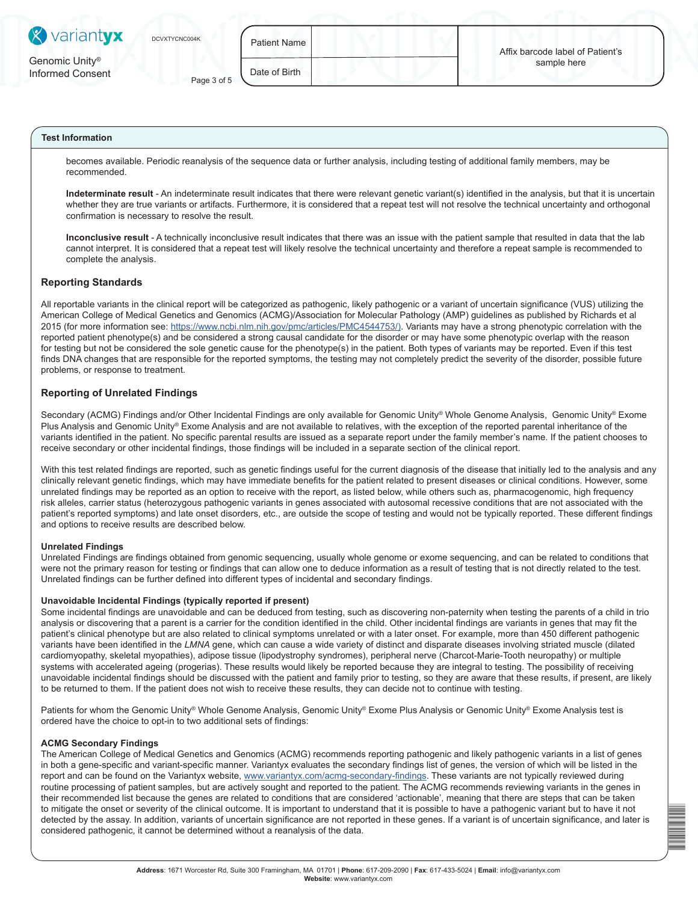| <b>X</b> variantyx                             | DCVXTYCNC004K | <b>Patient Name</b> | Affix barcode label of Patient's |
|------------------------------------------------|---------------|---------------------|----------------------------------|
| Genomic Unity <sup>®</sup><br>Informed Consent | Page 3 of 5   | Date of Birth       | sample here                      |

# **Test Information**

becomes available. Periodic reanalysis of the sequence data or further analysis, including testing of additional family members, may be recommended.

**Indeterminate result** - An indeterminate result indicates that there were relevant genetic variant(s) identified in the analysis, but that it is uncertain whether they are true variants or artifacts. Furthermore, it is considered that a repeat test will not resolve the technical uncertainty and orthogonal confirmation is necessary to resolve the result.

**Inconclusive result** - A technically inconclusive result indicates that there was an issue with the patient sample that resulted in data that the lab cannot interpret. It is considered that a repeat test will likely resolve the technical uncertainty and therefore a repeat sample is recommended to complete the analysis.

### **Reporting Standards**

All reportable variants in the clinical report will be categorized as pathogenic, likely pathogenic or a variant of uncertain significance (VUS) utilizing the American College of Medical Genetics and Genomics (ACMG)/Association for Molecular Pathology (AMP) guidelines as published by Richards et al 2015 (for more information see: https://www.ncbi.nlm.nih.gov/pmc/articles/PMC4544753/). Variants may have a strong phenotypic correlation with the reported patient phenotype(s) and be considered a strong causal candidate for the disorder or may have some phenotypic overlap with the reason for testing but not be considered the sole genetic cause for the phenotype(s) in the patient. Both types of variants may be reported. Even if this test finds DNA changes that are responsible for the reported symptoms, the testing may not completely predict the severity of the disorder, possible future problems, or response to treatment.

# **Reporting of Unrelated Findings**

Secondary (ACMG) Findings and/or Other Incidental Findings are only available for Genomic Unity® Whole Genome Analysis, Genomic Unity® Exome Plus Analysis and Genomic Unity® Exome Analysis and are not available to relatives, with the exception of the reported parental inheritance of the variants identified in the patient. No specific parental results are issued as a separate report under the family member's name. If the patient chooses to receive secondary or other incidental findings, those findings will be included in a separate section of the clinical report.

With this test related findings are reported, such as genetic findings useful for the current diagnosis of the disease that initially led to the analysis and any clinically relevant genetic findings, which may have immediate benefits for the patient related to present diseases or clinical conditions. However, some unrelated findings may be reported as an option to receive with the report, as listed below, while others such as, pharmacogenomic, high frequency risk alleles, carrier status (heterozygous pathogenic variants in genes associated with autosomal recessive conditions that are not associated with the patient's reported symptoms) and late onset disorders, etc., are outside the scope of testing and would not be typically reported. These different findings and options to receive results are described below.

#### **Unrelated Findings**

Unrelated Findings are findings obtained from genomic sequencing, usually whole genome or exome sequencing, and can be related to conditions that were not the primary reason for testing or findings that can allow one to deduce information as a result of testing that is not directly related to the test. Unrelated findings can be further defined into different types of incidental and secondary findings.

#### **Unavoidable Incidental Findings (typically reported if present)**

Some incidental findings are unavoidable and can be deduced from testing, such as discovering non-paternity when testing the parents of a child in trio analysis or discovering that a parent is a carrier for the condition identified in the child. Other incidental findings are variants in genes that may fit the patient's clinical phenotype but are also related to clinical symptoms unrelated or with a later onset. For example, more than 450 different pathogenic variants have been identified in the *LMNA* gene, which can cause a wide variety of distinct and disparate diseases involving striated muscle (dilated cardiomyopathy, skeletal myopathies), adipose tissue (lipodystrophy syndromes), peripheral nerve (Charcot-Marie-Tooth neuropathy) or multiple systems with accelerated ageing (progerias). These results would likely be reported because they are integral to testing. The possibility of receiving unavoidable incidental findings should be discussed with the patient and family prior to testing, so they are aware that these results, if present, are likely to be returned to them. If the patient does not wish to receive these results, they can decide not to continue with testing.

Patients for whom the Genomic Unity® Whole Genome Analysis, Genomic Unity® Exome Plus Analysis or Genomic Unity® Exome Analysis test is ordered have the choice to opt-in to two additional sets of findings:

#### **ACMG Secondary Findings**

The American College of Medical Genetics and Genomics (ACMG) recommends reporting pathogenic and likely pathogenic variants in a list of genes in both a gene-specific and variant-specific manner. Variantyx evaluates the secondary findings list of genes, the version of which will be listed in the report and can be found on the Variantyx website, www.variantyx.com/acmg-secondary-findings. These variants are not typically reviewed during routine processing of patient samples, but are actively sought and reported to the patient. The ACMG recommends reviewing variants in the genes in their recommended list because the genes are related to conditions that are considered 'actionable', meaning that there are steps that can be taken to mitigate the onset or severity of the clinical outcome. It is important to understand that it is possible to have a pathogenic variant but to have it not detected by the assay. In addition, variants of uncertain significance are not reported in these genes. If a variant is of uncertain significance, and later is considered pathogenic, it cannot be determined without a reanalysis of the data.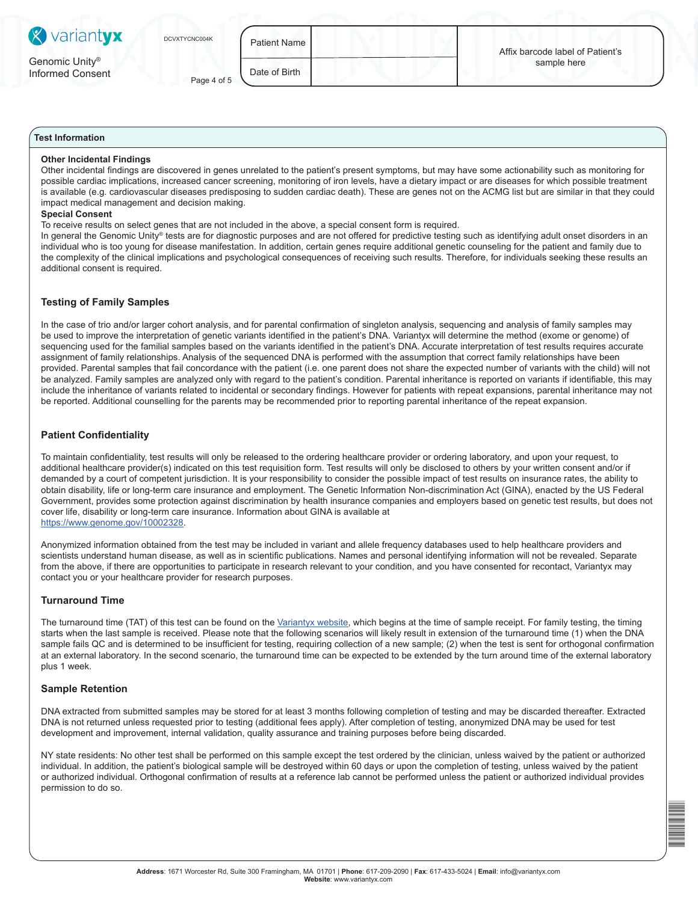| <b>X</b> variantyx                             | DCVXTYCNC004K | <b>Patient Name</b> | Affix barcode label of Patient's |
|------------------------------------------------|---------------|---------------------|----------------------------------|
| Genomic Unity <sup>®</sup><br>Informed Consent | Page 4 of 5   | Date of Birth       | sample here                      |

# **Test Information**

#### **Other Incidental Findings**

Other incidental findings are discovered in genes unrelated to the patient's present symptoms, but may have some actionability such as monitoring for possible cardiac implications, increased cancer screening, monitoring of iron levels, have a dietary impact or are diseases for which possible treatment is available (e.g. cardiovascular diseases predisposing to sudden cardiac death). These are genes not on the ACMG list but are similar in that they could impact medical management and decision making.

#### **Special Consent**

To receive results on select genes that are not included in the above, a special consent form is required.

In general the Genomic Unity® tests are for diagnostic purposes and are not offered for predictive testing such as identifying adult onset disorders in an individual who is too young for disease manifestation. In addition, certain genes require additional genetic counseling for the patient and family due to the complexity of the clinical implications and psychological consequences of receiving such results. Therefore, for individuals seeking these results an additional consent is required.

### **Testing of Family Samples**

In the case of trio and/or larger cohort analysis, and for parental confirmation of singleton analysis, sequencing and analysis of family samples may be used to improve the interpretation of genetic variants identified in the patient's DNA. Variantyx will determine the method (exome or genome) of sequencing used for the familial samples based on the variants identified in the patient's DNA. Accurate interpretation of test results requires accurate assignment of family relationships. Analysis of the sequenced DNA is performed with the assumption that correct family relationships have been provided. Parental samples that fail concordance with the patient (i.e. one parent does not share the expected number of variants with the child) will not be analyzed. Family samples are analyzed only with regard to the patient's condition. Parental inheritance is reported on variants if identifiable, this may include the inheritance of variants related to incidental or secondary findings. However for patients with repeat expansions, parental inheritance may not be reported. Additional counselling for the parents may be recommended prior to reporting parental inheritance of the repeat expansion.

# **Patient Confidentiality**

To maintain confidentiality, test results will only be released to the ordering healthcare provider or ordering laboratory, and upon your request, to additional healthcare provider(s) indicated on this test requisition form. Test results will only be disclosed to others by your written consent and/or if demanded by a court of competent jurisdiction. It is your responsibility to consider the possible impact of test results on insurance rates, the ability to obtain disability, life or long-term care insurance and employment. The Genetic Information Non-discrimination Act (GINA), enacted by the US Federal Government, provides some protection against discrimination by health insurance companies and employers based on genetic test results, but does not cover life, disability or long-term care insurance. Information about GINA is available at https://www.genome.gov/10002328.

Anonymized information obtained from the test may be included in variant and allele frequency databases used to help healthcare providers and scientists understand human disease, as well as in scientific publications. Names and personal identifying information will not be revealed. Separate from the above, if there are opportunities to participate in research relevant to your condition, and you have consented for recontact, Variantyx may contact you or your healthcare provider for research purposes.

### **Turnaround Time**

The turnaround time (TAT) of this test can be found on the Variantyx website, which begins at the time of sample receipt. For family testing, the timing starts when the last sample is received. Please note that the following scenarios will likely result in extension of the turnaround time (1) when the DNA sample fails QC and is determined to be insufficient for testing, requiring collection of a new sample; (2) when the test is sent for orthogonal confirmation at an external laboratory. In the second scenario, the turnaround time can be expected to be extended by the turn around time of the external laboratory plus 1 week.

#### **Sample Retention**

DNA extracted from submitted samples may be stored for at least 3 months following completion of testing and may be discarded thereafter. Extracted DNA is not returned unless requested prior to testing (additional fees apply). After completion of testing, anonymized DNA may be used for test development and improvement, internal validation, quality assurance and training purposes before being discarded.

NY state residents: No other test shall be performed on this sample except the test ordered by the clinician, unless waived by the patient or authorized individual. In addition, the patient's biological sample will be destroyed within 60 days or upon the completion of testing, unless waived by the patient or authorized individual. Orthogonal confirmation of results at a reference lab cannot be performed unless the patient or authorized individual provides permission to do so.